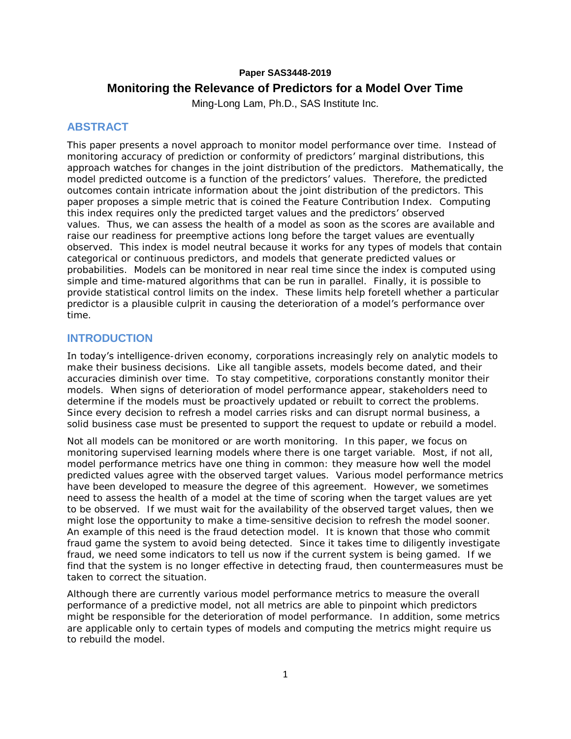# **Paper SAS3448-2019 Monitoring the Relevance of Predictors for a Model Over Time**

Ming-Long Lam, Ph.D., SAS Institute Inc.

## **ABSTRACT**

This paper presents a novel approach to monitor model performance over time. Instead of monitoring accuracy of prediction or conformity of predictors' marginal distributions, this approach watches for changes in the joint distribution of the predictors. Mathematically, the model predicted outcome is a function of the predictors' values. Therefore, the predicted outcomes contain intricate information about the joint distribution of the predictors. This paper proposes a simple metric that is coined the Feature Contribution Index. Computing this index requires only the predicted target values and the predictors' observed values. Thus, we can assess the health of a model as soon as the scores are available and raise our readiness for preemptive actions long before the target values are eventually observed. This index is model neutral because it works for any types of models that contain categorical or continuous predictors, and models that generate predicted values or probabilities. Models can be monitored in near real time since the index is computed using simple and time-matured algorithms that can be run in parallel. Finally, it is possible to provide statistical control limits on the index. These limits help foretell whether a particular predictor is a plausible culprit in causing the deterioration of a model's performance over time.

## **INTRODUCTION**

In today's intelligence-driven economy, corporations increasingly rely on analytic models to make their business decisions. Like all tangible assets, models become dated, and their accuracies diminish over time. To stay competitive, corporations constantly monitor their models. When signs of deterioration of model performance appear, stakeholders need to determine if the models must be proactively updated or rebuilt to correct the problems. Since every decision to refresh a model carries risks and can disrupt normal business, a solid business case must be presented to support the request to update or rebuild a model.

Not all models can be monitored or are worth monitoring. In this paper, we focus on monitoring supervised learning models where there is one target variable. Most, if not all, model performance metrics have one thing in common: they measure how well the model predicted values agree with the observed target values. Various model performance metrics have been developed to measure the degree of this agreement. However, we sometimes need to assess the health of a model at the time of scoring when the target values are yet to be observed. If we must wait for the availability of the observed target values, then we might lose the opportunity to make a time-sensitive decision to refresh the model sooner. An example of this need is the fraud detection model. It is known that those who commit fraud game the system to avoid being detected. Since it takes time to diligently investigate fraud, we need some indicators to tell us now if the current system is being gamed. If we find that the system is no longer effective in detecting fraud, then countermeasures must be taken to correct the situation.

Although there are currently various model performance metrics to measure the overall performance of a predictive model, not all metrics are able to pinpoint which predictors might be responsible for the deterioration of model performance. In addition, some metrics are applicable only to certain types of models and computing the metrics might require us to rebuild the model.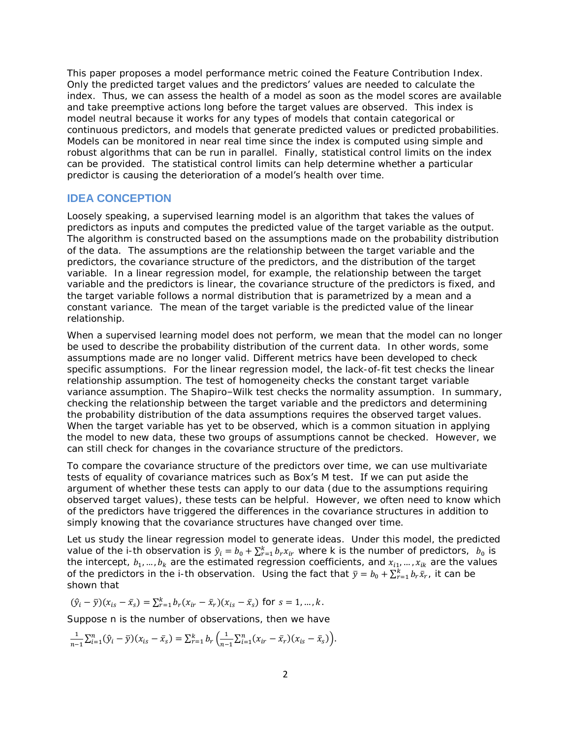This paper proposes a model performance metric coined the Feature Contribution Index. Only the predicted target values and the **predictors' values are needed** to calculate the index. Thus, we can assess the health of a model as soon as the model scores are available and take preemptive actions long before the target values are observed. This index is model neutral because it works for any types of models that contain categorical or continuous predictors, and models that generate predicted values or predicted probabilities. Models can be monitored in near real time since the index is computed using simple and robust algorithms that can be run in parallel. Finally, statistical control limits on the index can be provided. The statistical control limits can help determine whether a particular predictor is causing the deterioration of a model's health over time.

#### **IDEA CONCEPTION**

Loosely speaking, a supervised learning model is an algorithm that takes the values of predictors as inputs and computes the predicted value of the target variable as the output. The algorithm is constructed based on the assumptions made on the probability distribution of the data. The assumptions are the relationship between the target variable and the predictors, the covariance structure of the predictors, and the distribution of the target variable. In a linear regression model, for example, the relationship between the target variable and the predictors is linear, the covariance structure of the predictors is fixed, and the target variable follows a normal distribution that is parametrized by a mean and a constant variance. The mean of the target variable is the predicted value of the linear relationship.

When a supervised learning model does not perform, we mean that the model can no longer be used to describe the probability distribution of the current data. In other words, some assumptions made are no longer valid. Different metrics have been developed to check specific assumptions. For the linear regression model, the lack-of-fit test checks the linear relationship assumption. The test of homogeneity checks the constant target variable variance assumption. The Shapiro–Wilk test checks the normality assumption. In summary, checking the relationship between the target variable and the predictors and determining the probability distribution of the data assumptions requires the observed target values. When the target variable has yet to be observed, which is a common situation in applying the model to new data, these two groups of assumptions cannot be checked. However, we can still check for changes in the covariance structure of the predictors.

To compare the covariance structure of the predictors over time, we can use multivariate tests of equality of covariance matrices such as Box's M test. If we can put aside the argument of whether these tests can apply to our data (due to the assumptions requiring observed target values), these tests can be helpful. However, we often need to know which of the predictors have triggered the differences in the covariance structures in addition to simply knowing that the covariance structures have changed over time.

Let us study the linear regression model to generate ideas. Under this model, the predicted value of the *i*-th observation is  $\hat{y}_i = b_0 + \sum_{r=1}^k b_r x_{ir}$  where *k* is the number of predictors,  $b_0$  is the intercept,  $b_1, ..., b_k$  are the estimated regression coefficients, and  $x_{i1}, ..., x_{ik}$  are the values of the predictors in the *i*-th observation. Using the fact that  $\bar{y} = b_0 + \sum_{r=1}^k b_r \bar{x}_r$ , it can be shown that

$$
(\hat{y}_i - \bar{y})(x_{is} - \bar{x}_s) = \sum_{r=1}^k b_r (x_{ir} - \bar{x}_r)(x_{is} - \bar{x}_s)
$$
 for  $s = 1, ..., k$ .

Suppose *n* is the number of observations, then we have

$$
\frac{1}{n-1}\sum_{i=1}^{n}(\hat{y}_i-\bar{y})(x_{is}-\bar{x}_s)=\sum_{r=1}^{k}b_r\left(\frac{1}{n-1}\sum_{i=1}^{n}(x_{ir}-\bar{x}_r)(x_{is}-\bar{x}_s)\right).
$$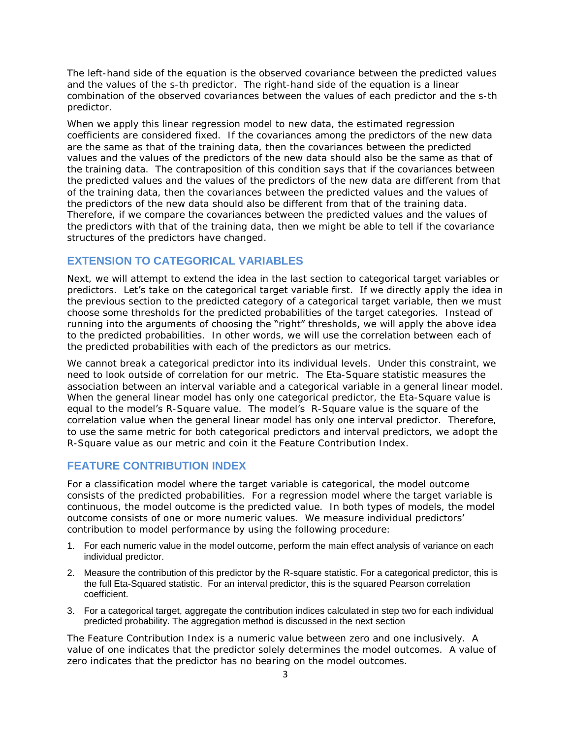The left-hand side of the equation is the observed covariance between the predicted values and the values of the *s*-th predictor. The right-hand side of the equation is a linear combination of the observed covariances between the values of each predictor and the *s*-th predictor.

When we apply this linear regression model to new data, the estimated regression coefficients are considered fixed. If the covariances among the predictors of the new data are the same as that of the training data, then the covariances between the predicted values and the values of the predictors of the new data should also be the same as that of the training data. The contraposition of this condition says that if the covariances between the predicted values and the values of the predictors of the new data are different from that of the training data, then the covariances between the predicted values and the values of the predictors of the new data should also be different from that of the training data. Therefore, if we compare the covariances between the predicted values and the values of the predictors with that of the training data, then we might be able to tell if the covariance structures of the predictors have changed.

#### **EXTENSION TO CATEGORICAL VARIABLES**

Next, we will attempt to extend the idea in the last section to categorical target variables or predictors. Let's take on the categorical target variable first. If we directly apply the idea in the previous section to the predicted category of a categorical target variable, then we must choose some thresholds for the predicted probabilities of the target categories. Instead of running into the arguments of choosing the "right" thresholds, we will apply the above idea to the predicted probabilities. In other words, we will use the correlation between each of the predicted probabilities with each of the predictors as our metrics.

We cannot break a categorical predictor into its individual levels. Under this constraint, we need to look outside of correlation for our metric. The Eta-Square statistic measures the association between an interval variable and a categorical variable in a general linear model. When the general linear model has only one categorical predictor, the Eta-Square value is equal to the model's R-Square value. The model's R-Square value is the square of the correlation value when the general linear model has only one interval predictor. Therefore, to use the same metric for both categorical predictors and interval predictors, we adopt the R-Square value as our metric and coin it the Feature Contribution Index.

#### **FEATURE CONTRIBUTION INDEX**

For a classification model where the target variable is categorical, the model outcome consists of the predicted probabilities. For a regression model where the target variable is continuous, the model outcome is the predicted value. In both types of models, the model outcome consists of one or more numeric values. We measure individual predictors' contribution to model performance by using the following procedure:

- 1. For each numeric value in the model outcome, perform the main effect analysis of variance on each individual predictor.
- 2. Measure the contribution of this predictor by the R-square statistic. For a categorical predictor, this is the full Eta-Squared statistic. For an interval predictor, this is the squared Pearson correlation coefficient.
- 3. For a categorical target, aggregate the contribution indices calculated in step two for each individual predicted probability. The aggregation method is discussed in the next section

The Feature Contribution Index is a numeric value between zero and one inclusively. A value of one indicates that the predictor solely determines the model outcomes. A value of zero indicates that the predictor has no bearing on the model outcomes.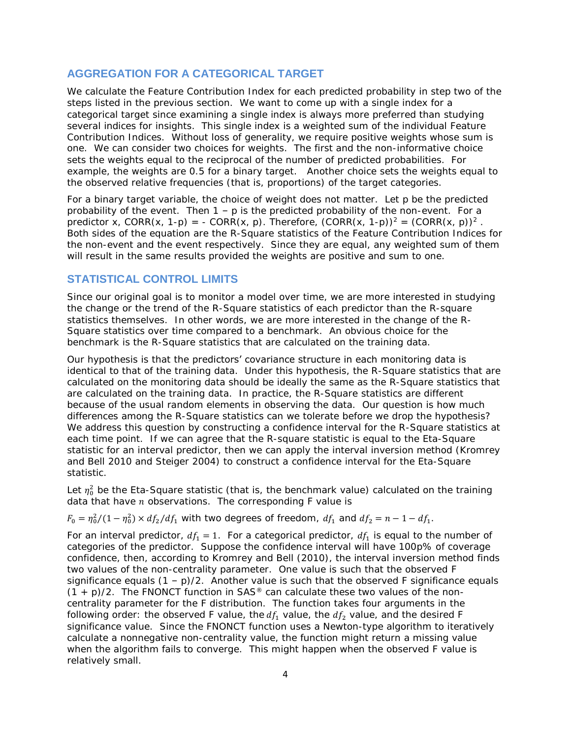## **AGGREGATION FOR A CATEGORICAL TARGET**

We calculate the Feature Contribution Index for each predicted probability in step two of the steps listed in the previous section. We want to come up with a single index for a categorical target since examining a single index is always more preferred than studying several indices for insights. This single index is a weighted sum of the individual Feature Contribution Indices. Without loss of generality, we require positive weights whose sum is one. We can consider two choices for weights. The first and the non-informative choice sets the weights equal to the reciprocal of the number of predicted probabilities. For example, the weights are 0.5 for a binary target. Another choice sets the weights equal to the observed relative frequencies (that is, proportions) of the target categories.

For a binary target variable, the choice of weight does not matter. Let p be the predicted probability of the event. Then  $1 - p$  is the predicted probability of the non-event. For a predictor x, CORR(x, 1-p) = - CORR(x, p). Therefore,  $(CORR(x, 1-p))^2 = (CORR(x, p))^2$ . Both sides of the equation are the R-Square statistics of the Feature Contribution Indices for the non-event and the event respectively. Since they are equal, any weighted sum of them will result in the same results provided the weights are positive and sum to one.

## **STATISTICAL CONTROL LIMITS**

Since our original goal is to monitor a model over time, we are more interested in studying the change or the trend of the R-Square statistics of each predictor than the R-square statistics themselves. In other words, we are more interested in the change of the R-Square statistics over time compared to a benchmark. An obvious choice for the benchmark is the R-Square statistics that are calculated on the training data.

Our hypothesis is that the predictors' covariance structure in each monitoring data is identical to that of the training data. Under this hypothesis, the R-Square statistics that are calculated on the monitoring data should be ideally the same as the R-Square statistics that are calculated on the training data. In practice, the R-Square statistics are different because of the usual random elements in observing the data. Our question is how much differences among the R-Square statistics can we tolerate before we drop the hypothesis? We address this question by constructing a confidence interval for the R-Square statistics at each time point. If we can agree that the R-square statistic is equal to the Eta-Square statistic for an interval predictor, then we can apply the interval inversion method (Kromrey and Bell 2010 and Steiger 2004) to construct a confidence interval for the Eta-Square statistic.

Let  $\eta_0^2$  be the Eta-Square statistic (that is, the benchmark value) calculated on the training data that have  $n$  observations. The corresponding  $F$  value is

 $F_0 = \frac{\eta_0^2}{(1 - \eta_0^2)} \times \frac{df_2}{df_1}$  with two degrees of freedom,  $df_1$  and  $df_2 = n - 1 - df_1$ .

For an interval predictor,  $df_1 = 1$ . For a categorical predictor,  $df_1$  is equal to the number of categories of the predictor. Suppose the confidence interval will have 100*p*% of coverage confidence, then, according to Kromrey and Bell (2010), the interval inversion method finds two values of the non-centrality parameter. One value is such that the observed *F* significance equals  $(1 - p)/2$ . Another value is such that the observed *F* significance equals  $(1 + p)/2$ . The FNONCT function in SAS<sup>®</sup> can calculate these two values of the noncentrality parameter for the *F* distribution. The function takes four arguments in the following order: the observed *F* value, the  $df_1$  value, the  $df_2$  value, and the desired *F* significance value. Since the FNONCT function uses a Newton-type algorithm to iteratively calculate a nonnegative non-centrality value, the function might return a missing value when the algorithm fails to converge. This might happen when the observed *F* value is relatively small.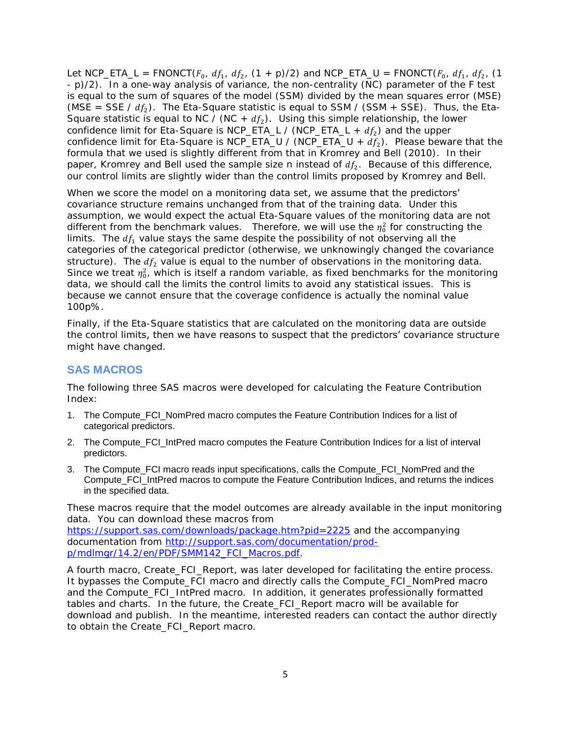Let NCP\_ETA\_L = FNONCT( $F_0$ ,  $df_1$ ,  $df_2$ , (1 +  $p$ )/2) and NCP\_ETA\_U = FNONCT( $F_0$ ,  $df_1$ ,  $df_2$ , (1 - *p*)/2). In a one-way analysis of variance, the non-centrality (NC) parameter of the F test is equal to the sum of squares of the model (SSM) divided by the mean squares error (MSE) (MSE = SSE /  $df_2$ ). The Eta-Square statistic is equal to SSM / (SSM + SSE). Thus, the Eta-Square statistic is equal to NC / (NC +  $df<sub>2</sub>$ ). Using this simple relationship, the lower confidence limit for Eta-Square is NCP\_ETA\_L / (NCP\_ETA\_L +  $df_2$ ) and the upper confidence limit for Eta-Square is NCP\_ETA\_U / (NCP\_ETA\_U +  $df_2$ ). Please beware that the formula that we used is slightly different from that in Kromrey and Bell (2010). In their paper, Kromrey and Bell used the sample size *n* instead of  $df_2$ . Because of this difference, our control limits are slightly wider than the control limits proposed by Kromrey and Bell.

When we score the model on a monitoring data set, we assume that the predictors' covariance structure remains unchanged from that of the training data. Under this assumption, we would expect the *actual* Eta-Square values of the monitoring data are not different from the benchmark values. Therefore, we will use the  $\eta_0^2$  for constructing the limits. The  $df_1$  value stays the same despite the possibility of not observing all the categories of the categorical predictor (otherwise, we unknowingly changed the covariance structure). The  $df_2$  value is equal to the number of observations in the monitoring data. Since we treat  $\eta_0^2$ , which is itself a random variable, as fixed benchmarks for the monitoring data, we should call the limits the control limits to avoid any statistical issues. This is because we cannot ensure that the coverage confidence is actually the nominal value 100*p*%.

Finally, if the Eta-Square statistics that are calculated on the monitoring data are outside the control limits, then we have reasons to suspect that the predictors' covariance structure might have changed.

#### **SAS MACROS**

The following three SAS macros were developed for calculating the Feature Contribution Index:

- 1. The Compute\_FCI\_NomPred macro computes the Feature Contribution Indices for a list of categorical predictors.
- 2. The Compute\_FCI\_IntPred macro computes the Feature Contribution Indices for a list of interval predictors.
- 3. The Compute FCI macro reads input specifications, calls the Compute FCI NomPred and the Compute\_FCI\_IntPred macros to compute the Feature Contribution Indices, and returns the indices in the specified data.

These macros require that the model outcomes are already available in the input monitoring data. You can download these macros from

<https://support.sas.com/downloads/package.htm?pid=2225> and the accompanying documentation from [http://support.sas.com/documentation/prod](http://support.sas.com/documentation/prod-p/mdlmgr/14.2/en/PDF/SMM142_FCI_Macros.pdf)[p/mdlmgr/14.2/en/PDF/SMM142\\_FCI\\_Macros.pdf.](http://support.sas.com/documentation/prod-p/mdlmgr/14.2/en/PDF/SMM142_FCI_Macros.pdf)

A fourth macro, Create\_FCI\_Report, was later developed for facilitating the entire process. It bypasses the Compute FCI macro and directly calls the Compute FCI NomPred macro and the Compute\_FCI\_IntPred macro. In addition, it generates professionally formatted tables and charts. In the future, the Create\_FCI\_Report macro will be available for download and publish. In the meantime, interested readers can contact the author directly to obtain the Create\_FCI\_Report macro.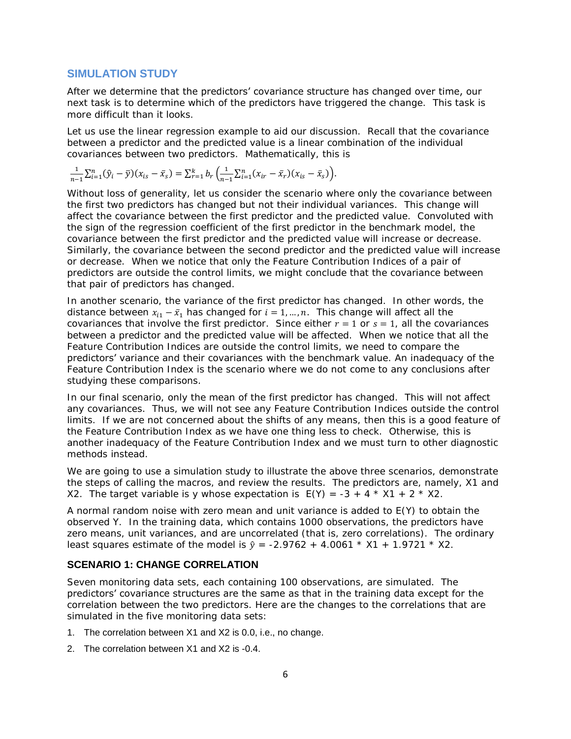#### **SIMULATION STUDY**

After we determine that the predictors' covariance structure has changed over time, our next task is to determine which of the predictors have triggered the change. This task is more difficult than it looks.

Let us use the linear regression example to aid our discussion. Recall that the covariance between a predictor and the predicted value is a linear combination of the individual covariances between two predictors. Mathematically, this is

$$
\frac{1}{n-1}\sum_{i=1}^{n}(\hat{y}_i-\bar{y})(x_{is}-\bar{x}_s)=\sum_{r=1}^{k}b_r\left(\frac{1}{n-1}\sum_{i=1}^{n}(x_{ir}-\bar{x}_r)(x_{is}-\bar{x}_s)\right).
$$

Without loss of generality, let us consider the scenario where only the covariance between the first two predictors has changed but not their individual variances. This change will affect the covariance between the first predictor and the predicted value. Convoluted with the sign of the regression coefficient of the first predictor in the benchmark model, the covariance between the first predictor and the predicted value will increase or decrease. Similarly, the covariance between the second predictor and the predicted value will increase or decrease. When we notice that only the Feature Contribution Indices of a pair of predictors are outside the control limits, we might conclude that the covariance between that pair of predictors has changed.

In another scenario, the variance of the first predictor has changed. In other words, the distance between  $x_{i1} - \bar{x}_1$  has changed for  $i = 1, ..., n$ . This change will affect all the covariances that involve the first predictor. Since either  $r = 1$  or  $s = 1$ , all the covariances between a predictor and the predicted value will be affected. When we notice that all the Feature Contribution Indices are outside the control limits, we need to compare the predictors' variance and their covariances with the benchmark value. An inadequacy of the Feature Contribution Index is the scenario where we do not come to any conclusions after studying these comparisons.

In our final scenario, only the mean of the first predictor has changed. This will not affect any covariances. Thus, we will not see any Feature Contribution Indices outside the control limits. If we are not concerned about the shifts of any means, then this is a good feature of the Feature Contribution Index as we have one thing less to check. Otherwise, this is another inadequacy of the Feature Contribution Index and we must turn to other diagnostic methods instead.

We are going to use a simulation study to illustrate the above three scenarios, demonstrate the steps of calling the macros, and review the results. The predictors are, namely, X1 and X2. The target variable is y whose expectation is  $E(Y) = -3 + 4 \times X1 + 2 \times X2$ .

A normal random noise with zero mean and unit variance is added to E(Y) to obtain the observed Y. In the training data, which contains 1000 observations, the predictors have zero means, unit variances, and are uncorrelated (that is, zero correlations). The ordinary least squares estimate of the model is  $\hat{v} = -2.9762 + 4.0061 * X1 + 1.9721 * X2$ .

## **SCENARIO 1: CHANGE CORRELATION**

Seven monitoring data sets, each containing 100 observations, are simulated. The predictors' covariance structures are the same as that in the training data except for the correlation between the two predictors. Here are the changes to the correlations that are simulated in the five monitoring data sets:

- 1. The correlation between X1 and X2 is 0.0, i.e., no change.
- 2. The correlation between X1 and X2 is -0.4.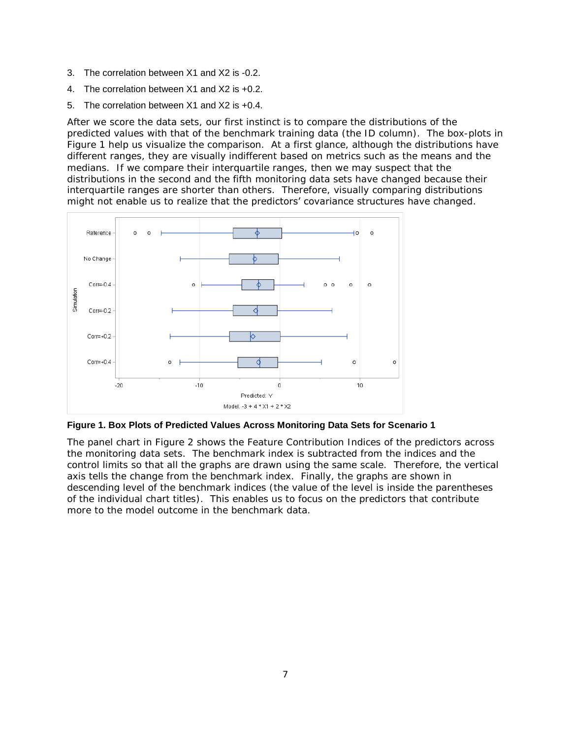- 3. The correlation between X1 and X2 is -0.2.
- 4. The correlation between X1 and X2 is +0.2.
- 5. The correlation between X1 and X2 is +0.4.

After we score the data sets, our first instinct is to compare the distributions of the predicted values with that of the benchmark training data (the ID column). The box-plots in [Figure](#page-6-0) 1 help us visualize the comparison. At a first glance, although the distributions have different ranges, they are visually indifferent based on metrics such as the means and the medians. If we compare their interquartile ranges, then we may suspect that the distributions in the second and the fifth monitoring data sets have changed because their interquartile ranges are shorter than others. Therefore, visually comparing distributions might not enable us to realize that the predictors' covariance structures have changed.



<span id="page-6-0"></span>**Figure 1. Box Plots of Predicted Values Across Monitoring Data Sets for Scenario 1**

The panel chart in [Figure](#page-7-0) 2 shows the Feature Contribution Indices of the predictors across the monitoring data sets. The benchmark index is subtracted from the indices and the control limits so that all the graphs are drawn using the same scale. Therefore, the vertical axis tells the change from the benchmark index. Finally, the graphs are shown in descending level of the benchmark indices (the value of the level is inside the parentheses of the individual chart titles). This enables us to focus on the predictors that contribute more to the model outcome in the benchmark data.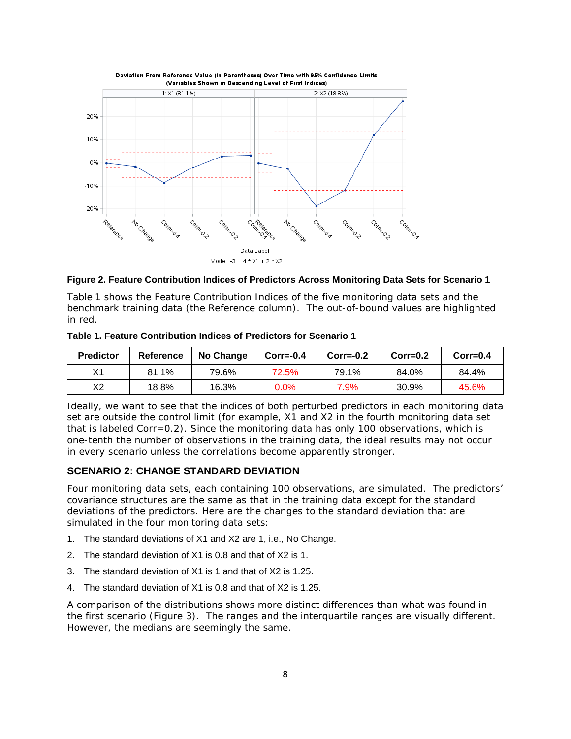

<span id="page-7-0"></span>**Figure 2. Feature Contribution Indices of Predictors Across Monitoring Data Sets for Scenario 1**

[Table](#page-7-1) 1 shows the Feature Contribution Indices of the five monitoring data sets and the benchmark training data (the Reference column). The out-of-bound values are highlighted in red.

| <b>Predictor</b> | Reference | No Change | $Corr=-0.4$ | $Corr=-0.2$ | $Corr=0.2$ | $Corr=0.4$ |
|------------------|-----------|-----------|-------------|-------------|------------|------------|
| V1               | 81.1%     | 79.6%     | 72.5%       | 79.1%       | 84.0%      | 84.4%      |
| Х2               | 18.8%     | 16.3%     | 0.0%        | 7.9%        | 30.9%      | 45.6%      |

<span id="page-7-1"></span>**Table 1. Feature Contribution Indices of Predictors for Scenario 1**

Ideally, we want to see that the indices of both perturbed predictors in each monitoring data set are outside the control limit (for example, X1 and X2 in the fourth monitoring data set that is labeled Corr=0.2). Since the monitoring data has only 100 observations, which is one-tenth the number of observations in the training data, the ideal results may not occur in every scenario unless the correlations become apparently stronger.

## **SCENARIO 2: CHANGE STANDARD DEVIATION**

Four monitoring data sets, each containing 100 observations, are simulated. The predictors' covariance structures are the same as that in the training data except for the standard deviations of the predictors. Here are the changes to the standard deviation that are simulated in the four monitoring data sets:

- 1. The standard deviations of X1 and X2 are 1, i.e., No Change.
- 2. The standard deviation of X1 is 0.8 and that of X2 is 1.
- 3. The standard deviation of X1 is 1 and that of X2 is 1.25.
- 4. The standard deviation of X1 is 0.8 and that of X2 is 1.25.

A comparison of the distributions shows more distinct differences than what was found in the first scenario [\(Figure 3\)](#page-8-0). The ranges and the interquartile ranges are visually different. However, the medians are seemingly the same.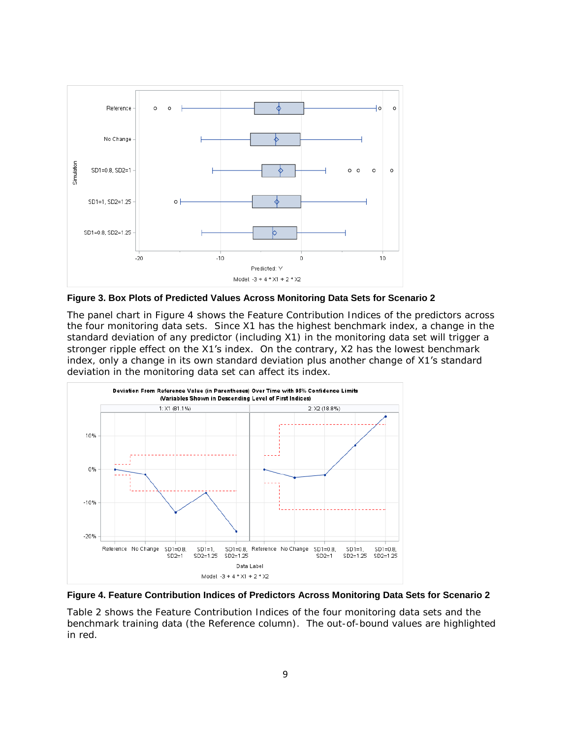

<span id="page-8-0"></span>**Figure 3. Box Plots of Predicted Values Across Monitoring Data Sets for Scenario 2**

The panel chart in [Figure 4](#page-8-1) shows the Feature Contribution Indices of the predictors across the four monitoring data sets. Since X1 has the highest benchmark index, a change in the standard deviation of any predictor (including X1) in the monitoring data set will trigger a stronger ripple effect on the X1's index. On the contrary, X2 has the lowest benchmark index, only a change in its own standard deviation plus another change of X1's standard deviation in the monitoring data set can affect its index.



<span id="page-8-1"></span>

[Table 2](#page-9-0) shows the Feature Contribution Indices of the four monitoring data sets and the benchmark training data (the Reference column). The out-of-bound values are highlighted in red.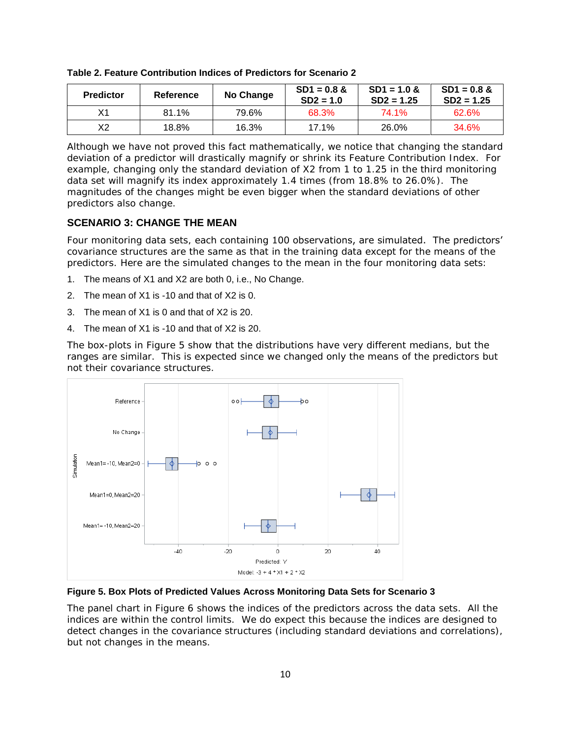| <b>Predictor</b> | Reference | No Change | $SD1 = 0.8$ &<br>$SD2 = 1.0$ | $SD1 = 1.0$ &<br>$SD2 = 1.25$ | $SD1 = 0.8$ &<br>$SD2 = 1.25$ |
|------------------|-----------|-----------|------------------------------|-------------------------------|-------------------------------|
| Χ1               | 81.1%     | 79.6%     | 68.3%                        | 74.1%                         | 62.6%                         |
| X2               | 18.8%     | 16.3%     | 17.1%                        | 26.0%                         | 34.6%                         |

<span id="page-9-0"></span>**Table 2. Feature Contribution Indices of Predictors for Scenario 2**

Although we have not proved this fact mathematically, we notice that changing the standard deviation of a predictor will drastically magnify or shrink its Feature Contribution Index. For example, changing only the standard deviation of X2 from 1 to 1.25 in the third monitoring data set will magnify its index approximately 1.4 times (from 18.8% to 26.0%). The magnitudes of the changes might be even bigger when the standard deviations of other predictors also change.

## **SCENARIO 3: CHANGE THE MEAN**

Four monitoring data sets, each containing 100 observations, are simulated. The predictors' covariance structures are the same as that in the training data except for the means of the predictors. Here are the simulated changes to the mean in the four monitoring data sets:

- 1. The means of X1 and X2 are both 0, i.e., No Change.
- 2. The mean of X1 is -10 and that of X2 is 0.
- 3. The mean of X1 is 0 and that of X2 is 20.
- 4. The mean of X1 is -10 and that of X2 is 20.

The box-plots in [Figure 5](#page-9-1) show that the distributions have very different medians, but the ranges are similar. This is expected since we changed only the means of the predictors but not their covariance structures.



<span id="page-9-1"></span>**Figure 5. Box Plots of Predicted Values Across Monitoring Data Sets for Scenario 3**

The panel chart in [Figure 6](#page-10-0) shows the indices of the predictors across the data sets. All the indices are within the control limits. We do expect this because the indices are designed to detect changes in the covariance structures (including standard deviations and correlations), but not changes in the means.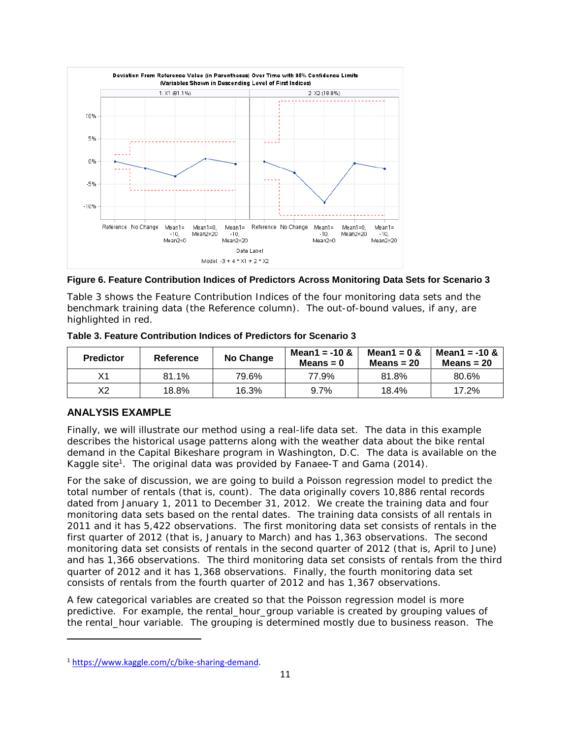

<span id="page-10-0"></span>**Figure 6. Feature Contribution Indices of Predictors Across Monitoring Data Sets for Scenario 3**

[Table 3](#page-10-1) shows the Feature Contribution Indices of the four monitoring data sets and the benchmark training data (the Reference column). The out-of-bound values, if any, are highlighted in red.

| <b>Predictor</b> | <b>Reference</b> | No Change | Mean1 = $-10 &$<br>Means $= 0$ | Mean1 = $0 &$<br>Means = $20$ | Mean1 = $-10 &$<br>Means = $20$ |
|------------------|------------------|-----------|--------------------------------|-------------------------------|---------------------------------|
| Х1               | 81.1%            | 79.6%     | 77.9%                          | 81.8%                         | 80.6%                           |
| Х2               | 18.8%            | 16.3%     | 9.7%                           | 18.4%                         | 17.2%                           |

<span id="page-10-1"></span>**Table 3. Feature Contribution Indices of Predictors for Scenario 3**

## **ANALYSIS EXAMPLE**

 $\overline{\phantom{a}}$ 

Finally, we will illustrate our method using a real-life data set. The data in this example describes the historical usage patterns along with the weather data about the bike rental demand in the Capital Bikeshare program in Washington, D.C. The data is available on the Kaggle site<sup>1</sup>. The original data was provided by Fanaee-T and Gama (2014).

For the sake of discussion, we are going to build a Poisson regression model to predict the total number of rentals (that is, count). The data originally covers 10,886 rental records dated from January 1, 2011 to December 31, 2012. We create the training data and four monitoring data sets based on the rental dates. The training data consists of all rentals in 2011 and it has 5,422 observations. The first monitoring data set consists of rentals in the first quarter of 2012 (that is, January to March) and has 1,363 observations. The second monitoring data set consists of rentals in the second quarter of 2012 (that is, April to June) and has 1,366 observations. The third monitoring data set consists of rentals from the third quarter of 2012 and it has 1,368 observations. Finally, the fourth monitoring data set consists of rentals from the fourth quarter of 2012 and has 1,367 observations.

A few categorical variables are created so that the Poisson regression model is more predictive. For example, the rental\_hour\_group variable is created by grouping values of the rental hour variable. The grouping is determined mostly due to business reason. The

<sup>1</sup> [https://www.kaggle.com/c/bike-sharing-demand.](https://www.kaggle.com/c/bike-sharing-demand)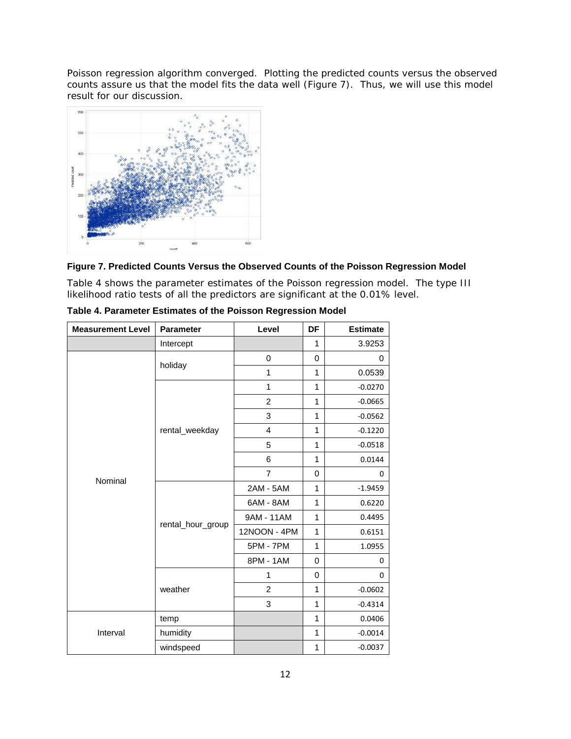Poisson regression algorithm converged. Plotting the predicted counts versus the observed counts assure us that the model fits the data well [\(Figure 7\)](#page-11-0). Thus, we will use this model result for our discussion.



#### <span id="page-11-0"></span>**Figure 7. Predicted Counts Versus the Observed Counts of the Poisson Regression Model**

Table 4 shows the parameter estimates of the Poisson regression model. The type III likelihood ratio tests of all the predictors are significant at the 0.01% level.

| <b>Measurement Level</b> | <b>Parameter</b>  | Level          | DF                                                                                                                                                                                                          | <b>Estimate</b> |  |  |
|--------------------------|-------------------|----------------|-------------------------------------------------------------------------------------------------------------------------------------------------------------------------------------------------------------|-----------------|--|--|
|                          | Intercept         |                | 1                                                                                                                                                                                                           | 3.9253          |  |  |
|                          |                   | $\mathbf 0$    | 0                                                                                                                                                                                                           | 0               |  |  |
|                          | holiday           | 1              | 1                                                                                                                                                                                                           | 0.0539          |  |  |
|                          |                   | 1              | 1                                                                                                                                                                                                           | $-0.0270$       |  |  |
|                          |                   | $\overline{2}$ | 1                                                                                                                                                                                                           | $-0.0665$       |  |  |
|                          |                   | 3              | 1                                                                                                                                                                                                           | $-0.0562$       |  |  |
|                          | rental_weekday    | $\overline{4}$ | 1                                                                                                                                                                                                           | $-0.1220$       |  |  |
|                          |                   | 5              | 1<br>1                                                                                                                                                                                                      |                 |  |  |
|                          |                   | 6              | $-0.0518$<br>0.0144<br>0<br>0<br>1<br>$-1.9459$<br>1<br>0.6220<br>1<br>0.4495<br>1<br>0.6151<br>1<br>1.0955<br>0<br>0<br>0<br>$\Omega$<br>1<br>$-0.0602$<br>1<br>$-0.4314$<br>1<br>0.0406<br>1<br>$-0.0014$ |                 |  |  |
| Nominal                  |                   | $\overline{7}$ |                                                                                                                                                                                                             |                 |  |  |
|                          |                   | 2AM - 5AM      |                                                                                                                                                                                                             |                 |  |  |
|                          |                   | 6AM - 8AM      |                                                                                                                                                                                                             |                 |  |  |
|                          | rental_hour_group | 9AM - 11AM     |                                                                                                                                                                                                             |                 |  |  |
|                          |                   | 12NOON - 4PM   |                                                                                                                                                                                                             |                 |  |  |
|                          |                   | 5PM - 7PM      |                                                                                                                                                                                                             |                 |  |  |
|                          |                   | 8PM - 1AM      |                                                                                                                                                                                                             |                 |  |  |
|                          |                   | 1              |                                                                                                                                                                                                             |                 |  |  |
|                          | weather           | $\overline{2}$ |                                                                                                                                                                                                             |                 |  |  |
|                          |                   | 3              |                                                                                                                                                                                                             |                 |  |  |
|                          | temp              |                |                                                                                                                                                                                                             |                 |  |  |
| Interval                 | humidity          |                |                                                                                                                                                                                                             |                 |  |  |
|                          | windspeed         |                | $\mathbf 1$                                                                                                                                                                                                 | $-0.0037$       |  |  |

**Table 4. Parameter Estimates of the Poisson Regression Model**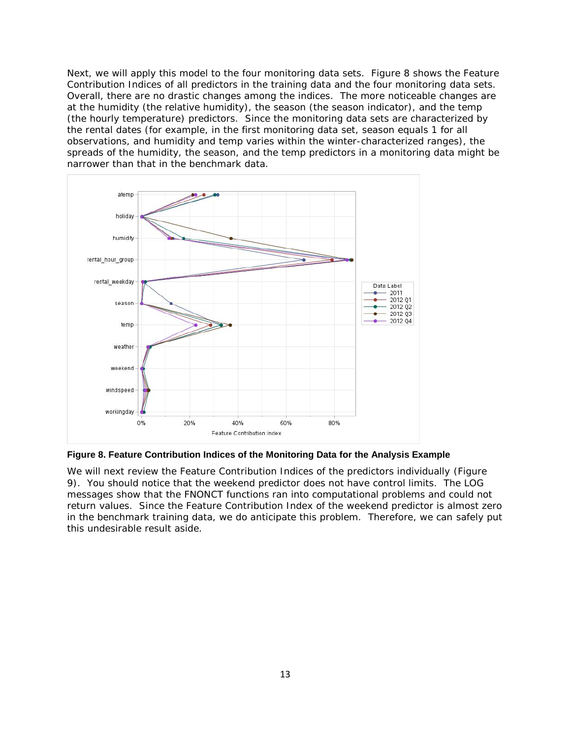Next, we will apply this model to the four monitoring data sets. [Figure 8](#page-12-0) shows the Feature Contribution Indices of all predictors in the training data and the four monitoring data sets. Overall, there are no drastic changes among the indices. The more noticeable changes are at the humidity (the relative humidity), the season (the season indicator), and the temp (the hourly temperature) predictors. Since the monitoring data sets are characterized by the rental dates (for example, in the first monitoring data set, season equals 1 for all observations, and humidity and temp varies within the winter-characterized ranges), the spreads of the humidity, the season, and the temp predictors in a monitoring data might be narrower than that in the benchmark data.



<span id="page-12-0"></span>**Figure 8. Feature Contribution Indices of the Monitoring Data for the Analysis Example**

We will next review the Feature Contribution Indices of the predictors individually [\(Figure](#page-13-0)  [9\)](#page-13-0). You should notice that the weekend predictor does not have control limits. The LOG messages show that the FNONCT functions ran into computational problems and could not return values. Since the Feature Contribution Index of the weekend predictor is almost zero in the benchmark training data, we do anticipate this problem. Therefore, we can safely put this undesirable result aside.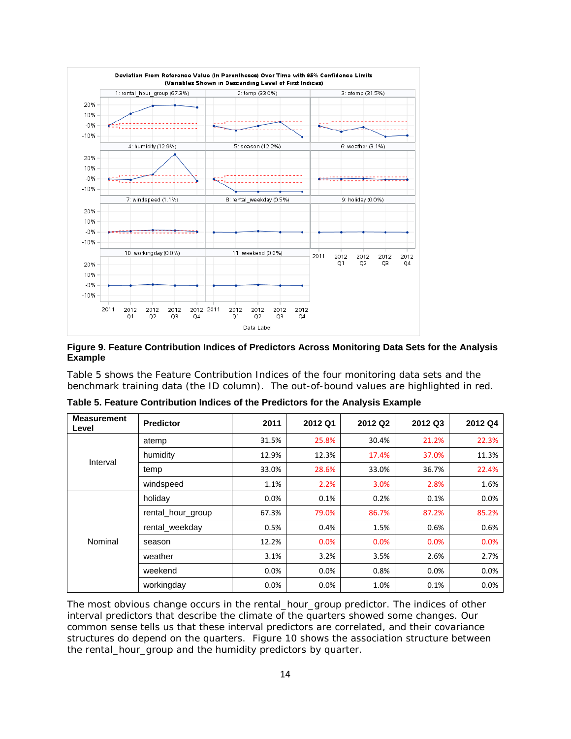

<span id="page-13-0"></span>**Figure 9. Feature Contribution Indices of Predictors Across Monitoring Data Sets for the Analysis Example**

[Table 5](#page-13-1) shows the Feature Contribution Indices of the four monitoring data sets and the benchmark training data (the ID column). The out-of-bound values are highlighted in red.

| <b>Measurement</b><br>Level | <b>Predictor</b>  | 2011    | 2012 Q1 | 2012 Q2 | 2012 Q3 | 2012 Q4 |
|-----------------------------|-------------------|---------|---------|---------|---------|---------|
| Interval                    | atemp             | 31.5%   | 25.8%   | 30.4%   | 21.2%   | 22.3%   |
|                             | humidity          | 12.9%   | 12.3%   | 17.4%   | 37.0%   | 11.3%   |
|                             | temp              | 33.0%   | 28.6%   | 33.0%   | 36.7%   | 22.4%   |
|                             | windspeed         | 1.1%    | 2.2%    | 3.0%    | 2.8%    | 1.6%    |
| Nominal                     | holiday           | 0.0%    | 0.1%    | 0.2%    | 0.1%    | 0.0%    |
|                             | rental_hour_group | 67.3%   | 79.0%   | 86.7%   | 87.2%   | 85.2%   |
|                             | rental weekday    | 0.5%    | 0.4%    | 1.5%    | 0.6%    | 0.6%    |
|                             | season            | 12.2%   | 0.0%    | 0.0%    | 0.0%    | 0.0%    |
|                             | weather           | 3.1%    | 3.2%    | 3.5%    | 2.6%    | 2.7%    |
|                             | weekend           | 0.0%    | 0.0%    | 0.8%    | 0.0%    | 0.0%    |
|                             | workingday        | $0.0\%$ | 0.0%    | 1.0%    | 0.1%    | 0.0%    |

<span id="page-13-1"></span>**Table 5. Feature Contribution Indices of the Predictors for the Analysis Example**

The most obvious change occurs in the rental\_hour\_group predictor. The indices of other interval predictors that describe the climate of the quarters showed some changes. Our common sense tells us that these interval predictors are correlated, and their covariance structures do depend on the quarters. [Figure 10](#page-14-0) shows the association structure between the rental\_hour\_group and the humidity predictors by quarter.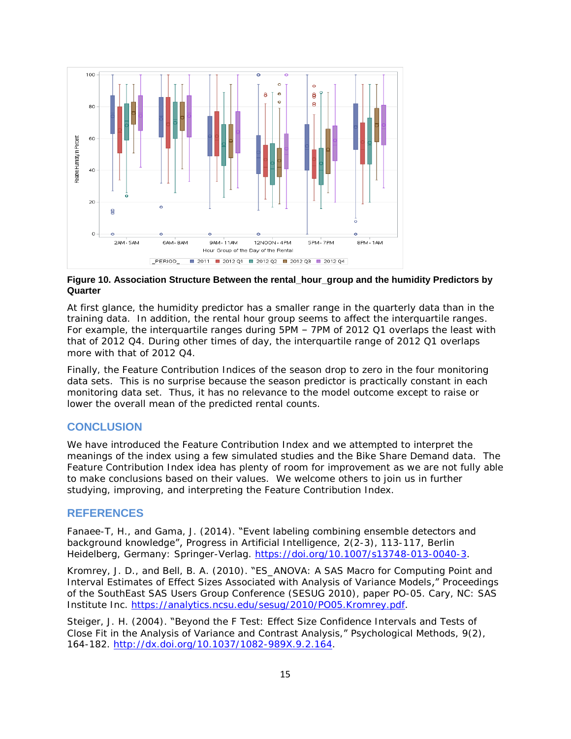

#### <span id="page-14-0"></span>**Figure 10. Association Structure Between the rental\_hour\_group and the humidity Predictors by Quarter**

At first glance, the humidity predictor has a smaller range in the quarterly data than in the training data. In addition, the rental hour group seems to affect the interquartile ranges. For example, the interquartile ranges during 5PM – 7PM of 2012 Q1 overlaps the least with that of 2012 Q4. During other times of day, the interquartile range of 2012 Q1 overlaps more with that of 2012 Q4.

Finally, the Feature Contribution Indices of the season drop to zero in the four monitoring data sets. This is no surprise because the season predictor is practically constant in each monitoring data set. Thus, it has no relevance to the model outcome except to raise or lower the overall mean of the predicted rental counts.

## **CONCLUSION**

We have introduced the Feature Contribution Index and we attempted to interpret the meanings of the index using a few simulated studies and the Bike Share Demand data. The Feature Contribution Index idea has plenty of room for improvement as we are not fully able to make conclusions based on their values. We welcome others to join us in further studying, improving, and interpreting the Feature Contribution Index.

#### **REFERENCES**

Fanaee-T, H., and Gama, J. (2014). "Event labeling combining ensemble detectors and background knowledge", *Progress in Artificial Intelligence,* 2(2-3), 113-117, Berlin Heidelberg, Germany: Springer-Verlag. [https://doi.org/10.1007/s13748-013-0040-3.](https://doi.org/10.1007/s13748-013-0040-3)

Kromrey, J. D., and Bell, B. A. (2010). "ES\_ANOVA: A SAS Macro for Computing Point and Interval Estimates of Effect Sizes Associated with Analysis of Variance Models," *Proceedings of the SouthEast SAS Users Group Conference (SESUG 2010)*, paper PO-05. Cary, NC: SAS Institute Inc. [https://analytics.ncsu.edu/sesug/2010/PO05.Kromrey.pdf.](https://analytics.ncsu.edu/sesug/2010/PO05.Kromrey.pdf)

Steiger, J. H. (2004). "Beyond the *F* Test: Effect Size Confidence Intervals and Tests of Close Fit in the Analysis of Variance and Contrast Analysis," *Psychological Methods*, 9(2), 164-182. [http://dx.doi.org/10.1037/1082-989X.9.2.164.](http://dx.doi.org/10.1037/1082-989X.9.2.164)